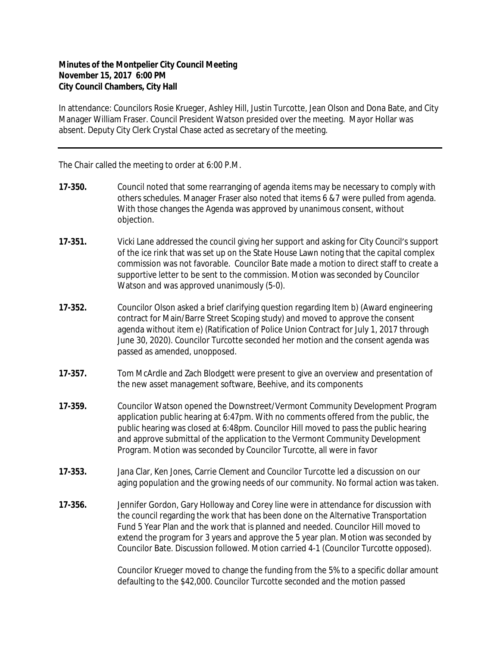## **Minutes of the Montpelier City Council Meeting November 15, 2017 6:00 PM City Council Chambers, City Hall**

In attendance: Councilors Rosie Krueger, Ashley Hill, Justin Turcotte, Jean Olson and Dona Bate, and City Manager William Fraser. Council President Watson presided over the meeting. Mayor Hollar was absent. Deputy City Clerk Crystal Chase acted as secretary of the meeting.

The Chair called the meeting to order at 6:00 P.M.

- **17-350.** Council noted that some rearranging of agenda items may be necessary to comply with others schedules. Manager Fraser also noted that items 6 &7 were pulled from agenda. With those changes the Agenda was approved by unanimous consent, without objection.
- **17-351.** Vicki Lane addressed the council giving her support and asking for City Council's support of the ice rink that was set up on the State House Lawn noting that the capital complex commission was not favorable. Councilor Bate made a motion to direct staff to create a supportive letter to be sent to the commission. Motion was seconded by Councilor Watson and was approved unanimously (5-0).
- **17-352.** Councilor Olson asked a brief clarifying question regarding Item b) (Award engineering contract for Main/Barre Street Scoping study) and moved to approve the consent agenda without item e) (Ratification of Police Union Contract for July 1, 2017 through June 30, 2020). Councilor Turcotte seconded her motion and the consent agenda was passed as amended, unopposed.
- **17-357.** Tom McArdle and Zach Blodgett were present to give an overview and presentation of the new asset management software, Beehive, and its components
- **17-359.** Councilor Watson opened the Downstreet/Vermont Community Development Program application public hearing at 6:47pm. With no comments offered from the public, the public hearing was closed at 6:48pm. Councilor Hill moved to pass the public hearing and approve submittal of the application to the Vermont Community Development Program. Motion was seconded by Councilor Turcotte, all were in favor
- **17-353.** Jana Clar, Ken Jones, Carrie Clement and Councilor Turcotte led a discussion on our aging population and the growing needs of our community. No formal action was taken.
- **17-356.** Jennifer Gordon, Gary Holloway and Corey line were in attendance for discussion with the council regarding the work that has been done on the Alternative Transportation Fund 5 Year Plan and the work that is planned and needed. Councilor Hill moved to extend the program for 3 years and approve the 5 year plan. Motion was seconded by Councilor Bate. Discussion followed. Motion carried 4-1 (Councilor Turcotte opposed).

Councilor Krueger moved to change the funding from the 5% to a specific dollar amount defaulting to the \$42,000. Councilor Turcotte seconded and the motion passed